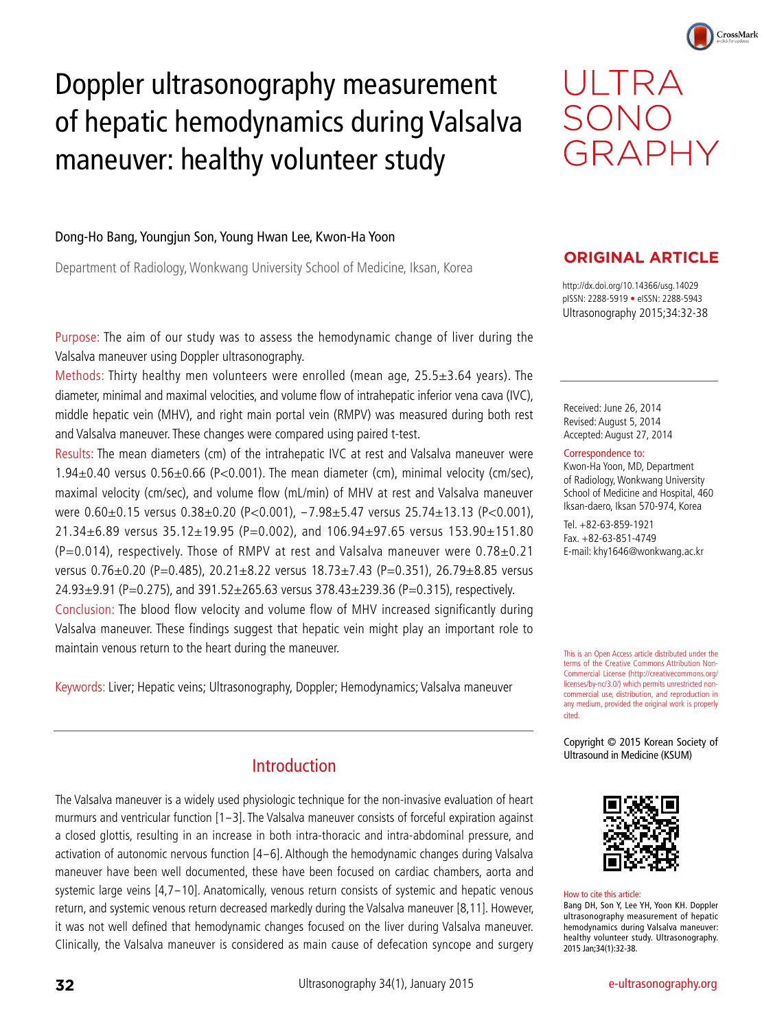# Doppler ultrasonography measurement of hepatic hemodynamics during Valsalva maneuver: healthy volunteer study



CrossMark

#### Dong-Ho Bang, Youngjun Son, Young Hwan Lee, Kwon-Ha Yoon

Department of Radiology, Wonkwang University School of Medicine, Iksan, Korea

Purpose: The aim of our study was to assess the hemodynamic change of liver during the Valsalva maneuver using Doppler ultrasonography.

Methods: Thirty healthy men volunteers were enrolled (mean age, 25.5±3.64 years). The diameter, minimal and maximal velocities, and volume flow of intrahepatic inferior vena cava (IVC), middle hepatic vein (MHV), and right main portal vein (RMPV) was measured during both rest and Valsalva maneuver. These changes were compared using paired t-test.

Results: The mean diameters (cm) of the intrahepatic IVC at rest and Valsalva maneuver were 1.94±0.40 versus 0.56±0.66 (P<0.001). The mean diameter (cm), minimal velocity (cm/sec), maximal velocity (cm/sec), and volume flow (mL/min) of MHV at rest and Valsalva maneuver were 0.60±0.15 versus 0.38±0.20 (P<0.001), -7.98±5.47 versus 25.74±13.13 (P<0.001), 21.34±6.89 versus 35.12±19.95 (P=0.002), and 106.94±97.65 versus 153.90±151.80  $(P=0.014)$ , respectively. Those of RMPV at rest and Valsalva maneuver were 0.78 $\pm$ 0.21 versus 0.76±0.20 (P=0.485), 20.21±8.22 versus 18.73±7.43 (P=0.351), 26.79±8.85 versus 24.93±9.91 (P=0.275), and 391.52±265.63 versus 378.43±239.36 (P=0.315), respectively. Conclusion: The blood flow velocity and volume flow of MHV increased significantly during Valsalva maneuver. These findings suggest that hepatic vein might play an important role to maintain venous return to the heart during the maneuver.

Keywords: Liver; Hepatic veins; Ultrasonography, Doppler; Hemodynamics; Valsalva maneuver

# Introduction

The Valsalva maneuver is a widely used physiologic technique for the non-invasive evaluation of heart murmurs and ventricular function [1-3]. The Valsalva maneuver consists of forceful expiration against a closed glottis, resulting in an increase in both intra-thoracic and intra-abdominal pressure, and activation of autonomic nervous function [4-6]. Although the hemodynamic changes during Valsalva maneuver have been well documented, these have been focused on cardiac chambers, aorta and systemic large veins [4,7-10]. Anatomically, venous return consists of systemic and hepatic venous return, and systemic venous return decreased markedly during the Valsalva maneuver [8,11]. However, it was not well defined that hemodynamic changes focused on the liver during Valsalva maneuver. Clinically, the Valsalva maneuver is considered as main cause of defecation syncope and surgery

# **ORIGINAL ARTICLE**

http://dx.doi.org/10.14366/usg.14029 pISSN: 2288-5919 • eISSN: 2288-5943 Ultrasonography 2015;34:32-38

Received: June 26, 2014 Revised: August 5, 2014 Accepted: August 27, 2014

#### Correspondence to:

Kwon-Ha Yoon, MD, Department of Radiology, Wonkwang University School of Medicine and Hospital, 460 Iksan-daero, Iksan 570-974, Korea

Tel. +82-63-859-1921 Fax. +82-63-851-4749 E-mail: khy1646@wonkwang.ac.kr

This is an Open Access article distributed under the terms of the Creative Commons Attribution Non-Commercial License (http://creativecommons.org/ licenses/by-nc/3.0/) which permits unrestricted noncommercial use, distribution, and reproduction in any medium, provided the original work is properly cited.

Copyright © 2015 Korean Society of Ultrasound in Medicine (KSUM)



#### How to cite this article:

Bang DH, Son Y, Lee YH, Yoon KH. Doppler ultrasonography measurement of hepatic hemodynamics during Valsalva maneuver: healthy volunteer study. Ultrasonography. 2015 Jan;34(1):32-38.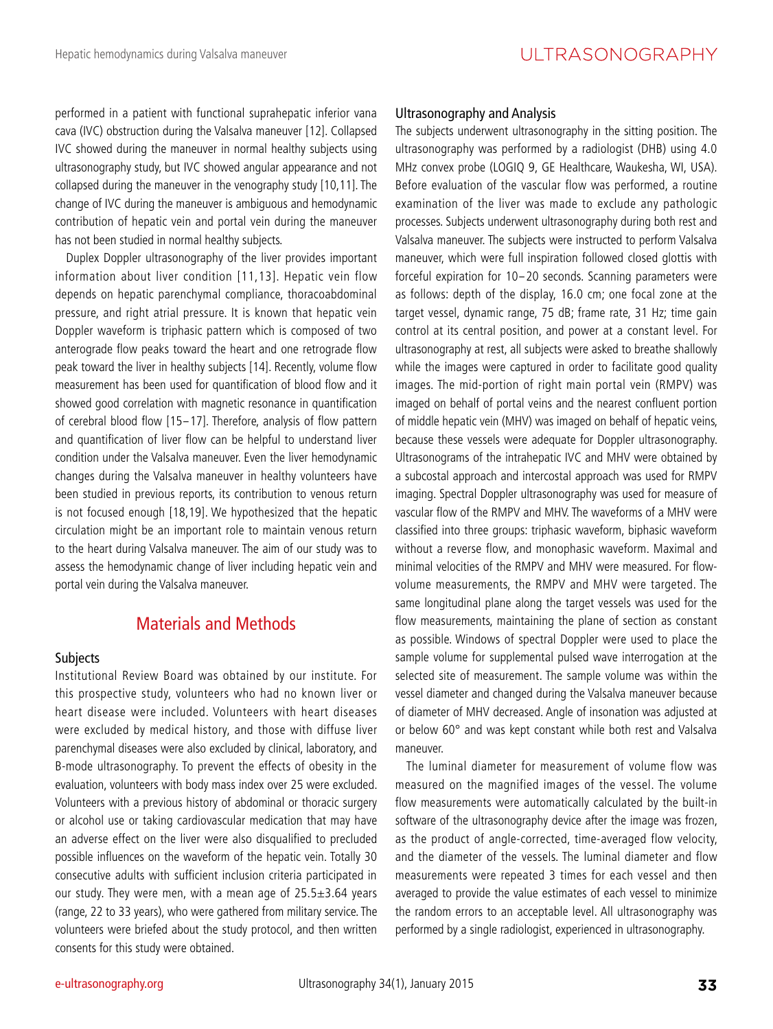performed in a patient with functional suprahepatic inferior vana cava (IVC) obstruction during the Valsalva maneuver [12]. Collapsed IVC showed during the maneuver in normal healthy subjects using ultrasonography study, but IVC showed angular appearance and not collapsed during the maneuver in the venography study [10,11]. The change of IVC during the maneuver is ambiguous and hemodynamic contribution of hepatic vein and portal vein during the maneuver has not been studied in normal healthy subjects.

Duplex Doppler ultrasonography of the liver provides important information about liver condition [11,13]. Hepatic vein flow depends on hepatic parenchymal compliance, thoracoabdominal pressure, and right atrial pressure. It is known that hepatic vein Doppler waveform is triphasic pattern which is composed of two anterograde flow peaks toward the heart and one retrograde flow peak toward the liver in healthy subjects [14]. Recently, volume flow measurement has been used for quantification of blood flow and it showed good correlation with magnetic resonance in quantification of cerebral blood flow [15-17]. Therefore, analysis of flow pattern and quantification of liver flow can be helpful to understand liver condition under the Valsalva maneuver. Even the liver hemodynamic changes during the Valsalva maneuver in healthy volunteers have been studied in previous reports, its contribution to venous return is not focused enough [18,19]. We hypothesized that the hepatic circulation might be an important role to maintain venous return to the heart during Valsalva maneuver. The aim of our study was to assess the hemodynamic change of liver including hepatic vein and portal vein during the Valsalva maneuver.

# Materials and Methods

#### **Subjects**

Institutional Review Board was obtained by our institute. For this prospective study, volunteers who had no known liver or heart disease were included. Volunteers with heart diseases were excluded by medical history, and those with diffuse liver parenchymal diseases were also excluded by clinical, laboratory, and B-mode ultrasonography. To prevent the effects of obesity in the evaluation, volunteers with body mass index over 25 were excluded. Volunteers with a previous history of abdominal or thoracic surgery or alcohol use or taking cardiovascular medication that may have an adverse effect on the liver were also disqualified to precluded possible influences on the waveform of the hepatic vein. Totally 30 consecutive adults with sufficient inclusion criteria participated in our study. They were men, with a mean age of 25.5±3.64 years (range, 22 to 33 years), who were gathered from military service. The volunteers were briefed about the study protocol, and then written consents for this study were obtained.

#### Ultrasonography and Analysis

The subjects underwent ultrasonography in the sitting position. The ultrasonography was performed by a radiologist (DHB) using 4.0 MHz convex probe (LOGIQ 9, GE Healthcare, Waukesha, WI, USA). Before evaluation of the vascular flow was performed, a routine examination of the liver was made to exclude any pathologic processes. Subjects underwent ultrasonography during both rest and Valsalva maneuver. The subjects were instructed to perform Valsalva maneuver, which were full inspiration followed closed glottis with forceful expiration for 10-20 seconds. Scanning parameters were as follows: depth of the display, 16.0 cm; one focal zone at the target vessel, dynamic range, 75 dB; frame rate, 31 Hz; time gain control at its central position, and power at a constant level. For ultrasonography at rest, all subjects were asked to breathe shallowly while the images were captured in order to facilitate good quality images. The mid-portion of right main portal vein (RMPV) was imaged on behalf of portal veins and the nearest confluent portion of middle hepatic vein (MHV) was imaged on behalf of hepatic veins, because these vessels were adequate for Doppler ultrasonography. Ultrasonograms of the intrahepatic IVC and MHV were obtained by a subcostal approach and intercostal approach was used for RMPV imaging. Spectral Doppler ultrasonography was used for measure of vascular flow of the RMPV and MHV. The waveforms of a MHV were classified into three groups: triphasic waveform, biphasic waveform without a reverse flow, and monophasic waveform. Maximal and minimal velocities of the RMPV and MHV were measured. For flowvolume measurements, the RMPV and MHV were targeted. The same longitudinal plane along the target vessels was used for the flow measurements, maintaining the plane of section as constant as possible. Windows of spectral Doppler were used to place the sample volume for supplemental pulsed wave interrogation at the selected site of measurement. The sample volume was within the vessel diameter and changed during the Valsalva maneuver because of diameter of MHV decreased. Angle of insonation was adjusted at or below 60° and was kept constant while both rest and Valsalva maneuver.

The luminal diameter for measurement of volume flow was measured on the magnified images of the vessel. The volume flow measurements were automatically calculated by the built-in software of the ultrasonography device after the image was frozen, as the product of angle-corrected, time-averaged flow velocity, and the diameter of the vessels. The luminal diameter and flow measurements were repeated 3 times for each vessel and then averaged to provide the value estimates of each vessel to minimize the random errors to an acceptable level. All ultrasonography was performed by a single radiologist, experienced in ultrasonography.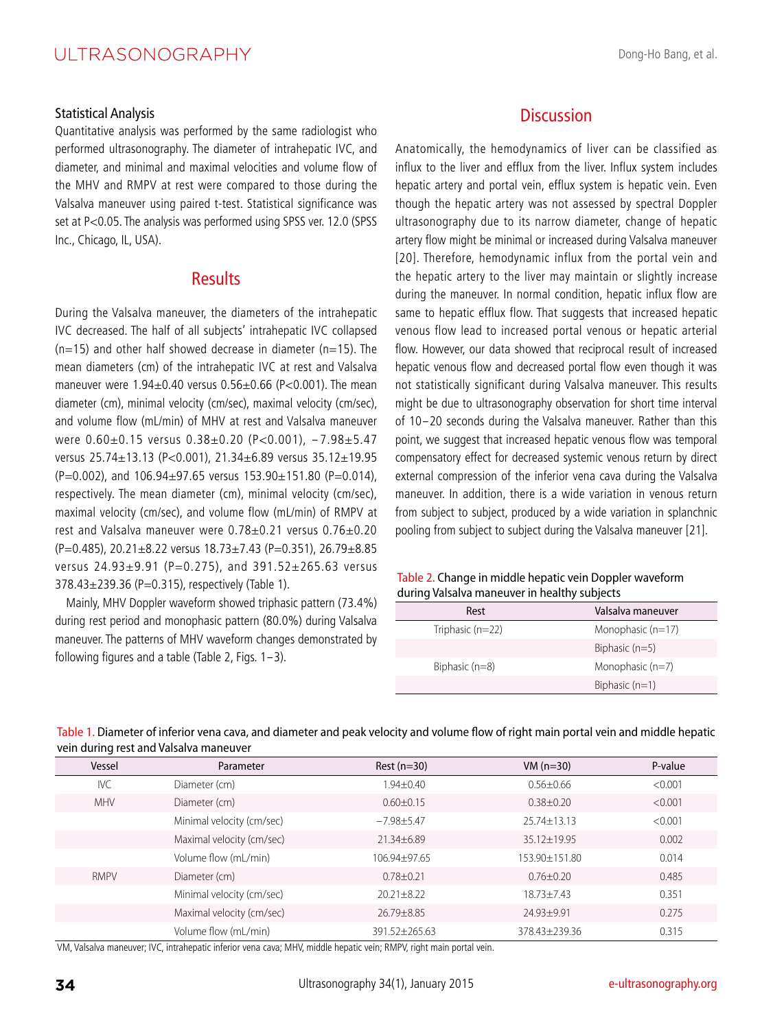#### Statistical Analysis

Quantitative analysis was performed by the same radiologist who performed ultrasonography. The diameter of intrahepatic IVC, and diameter, and minimal and maximal velocities and volume flow of the MHV and RMPV at rest were compared to those during the Valsalva maneuver using paired t-test. Statistical significance was set at P<0.05. The analysis was performed using SPSS ver. 12.0 (SPSS Inc., Chicago, IL, USA).

# **Results**

During the Valsalva maneuver, the diameters of the intrahepatic IVC decreased. The half of all subjects' intrahepatic IVC collapsed  $(n=15)$  and other half showed decrease in diameter  $(n=15)$ . The mean diameters (cm) of the intrahepatic IVC at rest and Valsalva maneuver were 1.94±0.40 versus 0.56±0.66 (P<0.001). The mean diameter (cm), minimal velocity (cm/sec), maximal velocity (cm/sec), and volume flow (mL/min) of MHV at rest and Valsalva maneuver were  $0.60\pm0.15$  versus  $0.38\pm0.20$  (P<0.001),  $-7.98\pm5.47$ versus 25.74±13.13 (P<0.001), 21.34±6.89 versus 35.12±19.95  $(P=0.002)$ , and  $106.94\pm97.65$  versus  $153.90\pm151.80$  (P=0.014), respectively. The mean diameter (cm), minimal velocity (cm/sec), maximal velocity (cm/sec), and volume flow (mL/min) of RMPV at rest and Valsalva maneuver were 0.78±0.21 versus 0.76±0.20 (P=0.485),  $20.21 \pm 8.22$  versus  $18.73 \pm 7.43$  (P=0.351),  $26.79 \pm 8.85$ versus 24.93±9.91 (P=0.275), and 391.52±265.63 versus 378.43±239.36 (P=0.315), respectively (Table 1).

Mainly, MHV Doppler waveform showed triphasic pattern (73.4%) during rest period and monophasic pattern (80.0%) during Valsalva maneuver. The patterns of MHV waveform changes demonstrated by following figures and a table (Table 2, Figs. 1-3).

# **Discussion**

Anatomically, the hemodynamics of liver can be classified as influx to the liver and efflux from the liver. Influx system includes hepatic artery and portal vein, efflux system is hepatic vein. Even though the hepatic artery was not assessed by spectral Doppler ultrasonography due to its narrow diameter, change of hepatic artery flow might be minimal or increased during Valsalva maneuver [20]. Therefore, hemodynamic influx from the portal vein and the hepatic artery to the liver may maintain or slightly increase during the maneuver. In normal condition, hepatic influx flow are same to hepatic efflux flow. That suggests that increased hepatic venous flow lead to increased portal venous or hepatic arterial flow. However, our data showed that reciprocal result of increased hepatic venous flow and decreased portal flow even though it was not statistically significant during Valsalva maneuver. This results might be due to ultrasonography observation for short time interval of 10-20 seconds during the Valsalva maneuver. Rather than this point, we suggest that increased hepatic venous flow was temporal compensatory effect for decreased systemic venous return by direct external compression of the inferior vena cava during the Valsalva maneuver. In addition, there is a wide variation in venous return from subject to subject, produced by a wide variation in splanchnic pooling from subject to subject during the Valsalva maneuver [21].

#### Table 2. Change in middle hepatic vein Doppler waveform during Valsalva maneuver in healthy subjects

| Rest               | Valsalva maneuver   |
|--------------------|---------------------|
| Triphasic $(n=22)$ | Monophasic $(n=17)$ |
|                    | Biphasic $(n=5)$    |
| Biphasic (n=8)     | Monophasic $(n=7)$  |
|                    | Biphasic $(n=1)$    |

| ╯<br>Vessel | Parameter                 | Rest $(n=30)$    | $VM(n=30)$      | P-value |
|-------------|---------------------------|------------------|-----------------|---------|
| <b>IVC</b>  | Diameter (cm)             | $1.94 \pm 0.40$  | $0.56 \pm 0.66$ | < 0.001 |
| <b>MHV</b>  | Diameter (cm)             | $0.60 \pm 0.15$  | $0.38 \pm 0.20$ | < 0.001 |
|             | Minimal velocity (cm/sec) | $-7.98 \pm 5.47$ | $25.74 + 13.13$ | < 0.001 |
|             | Maximal velocity (cm/sec) | 21.34±6.89       | 35.12±19.95     | 0.002   |
|             | Volume flow (mL/min)      | 106.94±97.65     | 153.90 + 151.80 | 0.014   |
| <b>RMPV</b> | Diameter (cm)             | $0.78 \pm 0.21$  | $0.76 \pm 0.20$ | 0.485   |
|             | Minimal velocity (cm/sec) | $20.21 \pm 8.22$ | $18.73 + 7.43$  | 0.351   |
|             | Maximal velocity (cm/sec) | 26.79±8.85       | 24.93±9.91      | 0.275   |
|             | Volume flow (mL/min)      | 391.52±265.63    | 378.43±239.36   | 0.315   |

Table 1. Diameter of inferior vena cava, and diameter and peak velocity and volume flow of right main portal vein and middle hepatic vein during rest and Valsalva maneuver

VM, Valsalva maneuver; IVC, intrahepatic inferior vena cava; MHV, middle hepatic vein; RMPV, right main portal vein.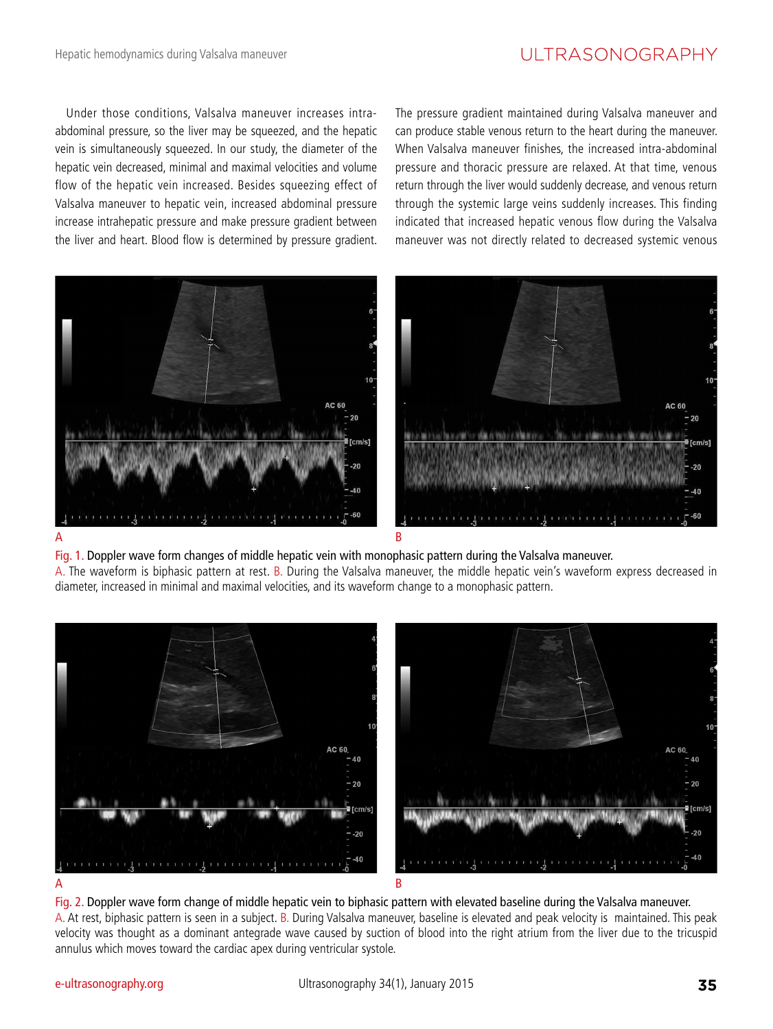# UI TRASONOGRAPHY

Under those conditions, Valsalva maneuver increases intraabdominal pressure, so the liver may be squeezed, and the hepatic vein is simultaneously squeezed. In our study, the diameter of the hepatic vein decreased, minimal and maximal velocities and volume flow of the hepatic vein increased. Besides squeezing effect of Valsalva maneuver to hepatic vein, increased abdominal pressure increase intrahepatic pressure and make pressure gradient between the liver and heart. Blood flow is determined by pressure gradient.

The pressure gradient maintained during Valsalva maneuver and can produce stable venous return to the heart during the maneuver. When Valsalva maneuver finishes, the increased intra-abdominal pressure and thoracic pressure are relaxed. At that time, venous return through the liver would suddenly decrease, and venous return through the systemic large veins suddenly increases. This finding indicated that increased hepatic venous flow during the Valsalva maneuver was not directly related to decreased systemic venous



Fig. 1. Doppler wave form changes of middle hepatic vein with monophasic pattern during the Valsalva maneuver. A. The waveform is biphasic pattern at rest. B. During the Valsalva maneuver, the middle hepatic vein's waveform express decreased in diameter, increased in minimal and maximal velocities, and its waveform change to a monophasic pattern.



Fig. 2. Doppler wave form change of middle hepatic vein to biphasic pattern with elevated baseline during the Valsalva maneuver. A. At rest, biphasic pattern is seen in a subject. B. During Valsalva maneuver, baseline is elevated and peak velocity is maintained. This peak velocity was thought as a dominant antegrade wave caused by suction of blood into the right atrium from the liver due to the tricuspid annulus which moves toward the cardiac apex during ventricular systole.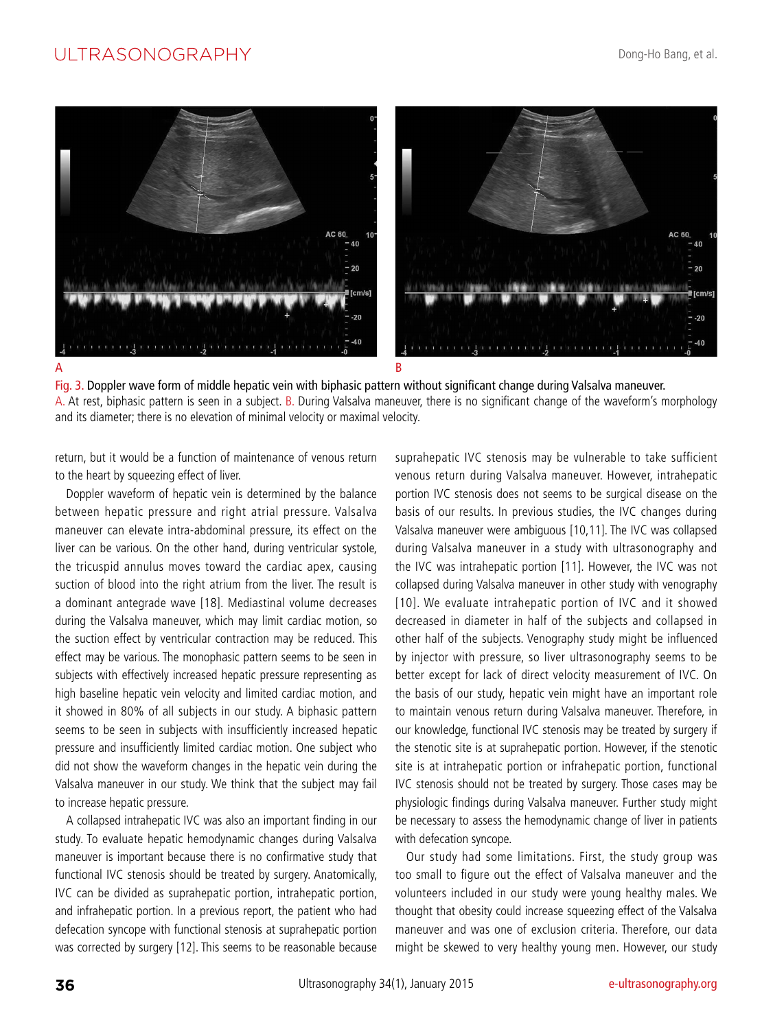# UI TRASONOGRAPHY



Fig. 3. Doppler wave form of middle hepatic vein with biphasic pattern without significant change during Valsalva maneuver. A. At rest, biphasic pattern is seen in a subject. B. During Valsalva maneuver, there is no significant change of the waveform's morphology and its diameter; there is no elevation of minimal velocity or maximal velocity.

return, but it would be a function of maintenance of venous return to the heart by squeezing effect of liver.

Doppler waveform of hepatic vein is determined by the balance between hepatic pressure and right atrial pressure. Valsalva maneuver can elevate intra-abdominal pressure, its effect on the liver can be various. On the other hand, during ventricular systole, the tricuspid annulus moves toward the cardiac apex, causing suction of blood into the right atrium from the liver. The result is a dominant antegrade wave [18]. Mediastinal volume decreases during the Valsalva maneuver, which may limit cardiac motion, so the suction effect by ventricular contraction may be reduced. This effect may be various. The monophasic pattern seems to be seen in subjects with effectively increased hepatic pressure representing as high baseline hepatic vein velocity and limited cardiac motion, and it showed in 80% of all subjects in our study. A biphasic pattern seems to be seen in subjects with insufficiently increased hepatic pressure and insufficiently limited cardiac motion. One subject who did not show the waveform changes in the hepatic vein during the Valsalva maneuver in our study. We think that the subject may fail to increase hepatic pressure.

A collapsed intrahepatic IVC was also an important finding in our study. To evaluate hepatic hemodynamic changes during Valsalva maneuver is important because there is no confirmative study that functional IVC stenosis should be treated by surgery. Anatomically, IVC can be divided as suprahepatic portion, intrahepatic portion, and infrahepatic portion. In a previous report, the patient who had defecation syncope with functional stenosis at suprahepatic portion was corrected by surgery [12]. This seems to be reasonable because suprahepatic IVC stenosis may be vulnerable to take sufficient venous return during Valsalva maneuver. However, intrahepatic portion IVC stenosis does not seems to be surgical disease on the basis of our results. In previous studies, the IVC changes during Valsalva maneuver were ambiguous [10,11]. The IVC was collapsed during Valsalva maneuver in a study with ultrasonography and the IVC was intrahepatic portion [11]. However, the IVC was not collapsed during Valsalva maneuver in other study with venography [10]. We evaluate intrahepatic portion of IVC and it showed decreased in diameter in half of the subjects and collapsed in other half of the subjects. Venography study might be influenced by injector with pressure, so liver ultrasonography seems to be better except for lack of direct velocity measurement of IVC. On the basis of our study, hepatic vein might have an important role to maintain venous return during Valsalva maneuver. Therefore, in our knowledge, functional IVC stenosis may be treated by surgery if the stenotic site is at suprahepatic portion. However, if the stenotic site is at intrahepatic portion or infrahepatic portion, functional IVC stenosis should not be treated by surgery. Those cases may be physiologic findings during Valsalva maneuver. Further study might be necessary to assess the hemodynamic change of liver in patients with defecation syncope.

Our study had some limitations. First, the study group was too small to figure out the effect of Valsalva maneuver and the volunteers included in our study were young healthy males. We thought that obesity could increase squeezing effect of the Valsalva maneuver and was one of exclusion criteria. Therefore, our data might be skewed to very healthy young men. However, our study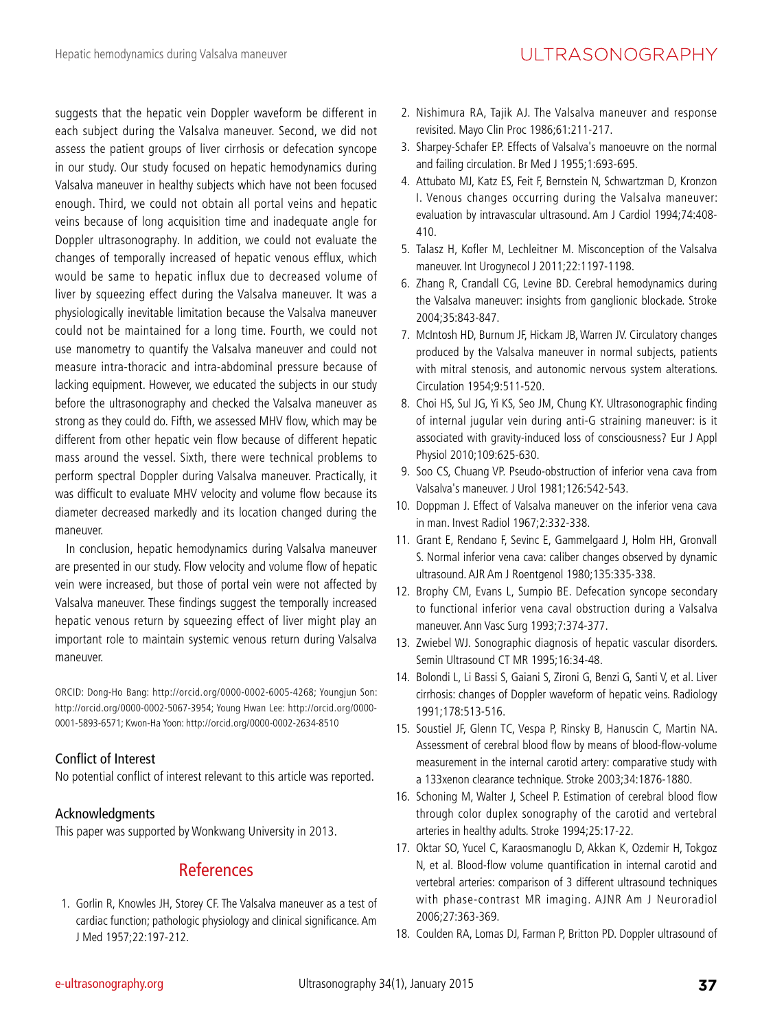suggests that the hepatic vein Doppler waveform be different in each subject during the Valsalva maneuver. Second, we did not assess the patient groups of liver cirrhosis or defecation syncope in our study. Our study focused on hepatic hemodynamics during Valsalva maneuver in healthy subjects which have not been focused enough. Third, we could not obtain all portal veins and hepatic veins because of long acquisition time and inadequate angle for Doppler ultrasonography. In addition, we could not evaluate the changes of temporally increased of hepatic venous efflux, which would be same to hepatic influx due to decreased volume of liver by squeezing effect during the Valsalva maneuver. It was a physiologically inevitable limitation because the Valsalva maneuver could not be maintained for a long time. Fourth, we could not use manometry to quantify the Valsalva maneuver and could not measure intra-thoracic and intra-abdominal pressure because of lacking equipment. However, we educated the subjects in our study before the ultrasonography and checked the Valsalva maneuver as strong as they could do. Fifth, we assessed MHV flow, which may be different from other hepatic vein flow because of different hepatic mass around the vessel. Sixth, there were technical problems to perform spectral Doppler during Valsalva maneuver. Practically, it was difficult to evaluate MHV velocity and volume flow because its diameter decreased markedly and its location changed during the maneuver.

In conclusion, hepatic hemodynamics during Valsalva maneuver are presented in our study. Flow velocity and volume flow of hepatic vein were increased, but those of portal vein were not affected by Valsalva maneuver. These findings suggest the temporally increased hepatic venous return by squeezing effect of liver might play an important role to maintain systemic venous return during Valsalva maneuver.

ORCID: Dong-Ho Bang: http://orcid.org/0000-0002-6005-4268; Youngjun Son: http://orcid.org/0000-0002-5067-3954; Young Hwan Lee: http://orcid.org/0000- 0001-5893-6571; Kwon-Ha Yoon: http://orcid.org/0000-0002-2634-8510

## Conflict of Interest

No potential conflict of interest relevant to this article was reported.

## Acknowledgments

This paper was supported by Wonkwang University in 2013.

# References

1. Gorlin R, Knowles JH, Storey CF. The Valsalva maneuver as a test of cardiac function; pathologic physiology and clinical significance. Am J Med 1957;22:197-212.

- 2. Nishimura RA, Tajik AJ. The Valsalva maneuver and response revisited. Mayo Clin Proc 1986;61:211-217.
- 3. Sharpey-Schafer EP. Effects of Valsalva's manoeuvre on the normal and failing circulation. Br Med J 1955;1:693-695.
- 4. Attubato MJ, Katz ES, Feit F, Bernstein N, Schwartzman D, Kronzon I. Venous changes occurring during the Valsalva maneuver: evaluation by intravascular ultrasound. Am J Cardiol 1994;74:408- 410.
- 5. Talasz H, Kofler M, Lechleitner M. Misconception of the Valsalva maneuver. Int Urogynecol J 2011;22:1197-1198.
- 6. Zhang R, Crandall CG, Levine BD. Cerebral hemodynamics during the Valsalva maneuver: insights from ganglionic blockade. Stroke 2004;35:843-847.
- 7. McIntosh HD, Burnum JF, Hickam JB, Warren JV. Circulatory changes produced by the Valsalva maneuver in normal subjects, patients with mitral stenosis, and autonomic nervous system alterations. Circulation 1954;9:511-520.
- 8. Choi HS, Sul JG, Yi KS, Seo JM, Chung KY. Ultrasonographic finding of internal jugular vein during anti-G straining maneuver: is it associated with gravity-induced loss of consciousness? Eur J Appl Physiol 2010;109:625-630.
- 9. Soo CS, Chuang VP. Pseudo-obstruction of inferior vena cava from Valsalva's maneuver. J Urol 1981;126:542-543.
- 10. Doppman J. Effect of Valsalva maneuver on the inferior vena cava in man. Invest Radiol 1967;2:332-338.
- 11. Grant E, Rendano F, Sevinc E, Gammelgaard J, Holm HH, Gronvall S. Normal inferior vena cava: caliber changes observed by dynamic ultrasound. AJR Am J Roentgenol 1980;135:335-338.
- 12. Brophy CM, Evans L, Sumpio BE. Defecation syncope secondary to functional inferior vena caval obstruction during a Valsalva maneuver. Ann Vasc Surg 1993;7:374-377.
- 13. Zwiebel WJ. Sonographic diagnosis of hepatic vascular disorders. Semin Ultrasound CT MR 1995;16:34-48.
- 14. Bolondi L, Li Bassi S, Gaiani S, Zironi G, Benzi G, Santi V, et al. Liver cirrhosis: changes of Doppler waveform of hepatic veins. Radiology 1991;178:513-516.
- 15. Soustiel JF, Glenn TC, Vespa P, Rinsky B, Hanuscin C, Martin NA. Assessment of cerebral blood flow by means of blood-flow-volume measurement in the internal carotid artery: comparative study with a 133xenon clearance technique. Stroke 2003;34:1876-1880.
- 16. Schoning M, Walter J, Scheel P. Estimation of cerebral blood flow through color duplex sonography of the carotid and vertebral arteries in healthy adults. Stroke 1994;25:17-22.
- 17. Oktar SO, Yucel C, Karaosmanoglu D, Akkan K, Ozdemir H, Tokgoz N, et al. Blood-flow volume quantification in internal carotid and vertebral arteries: comparison of 3 different ultrasound techniques with phase-contrast MR imaging. AJNR Am J Neuroradiol 2006;27:363-369.
- 18. Coulden RA, Lomas DJ, Farman P, Britton PD. Doppler ultrasound of